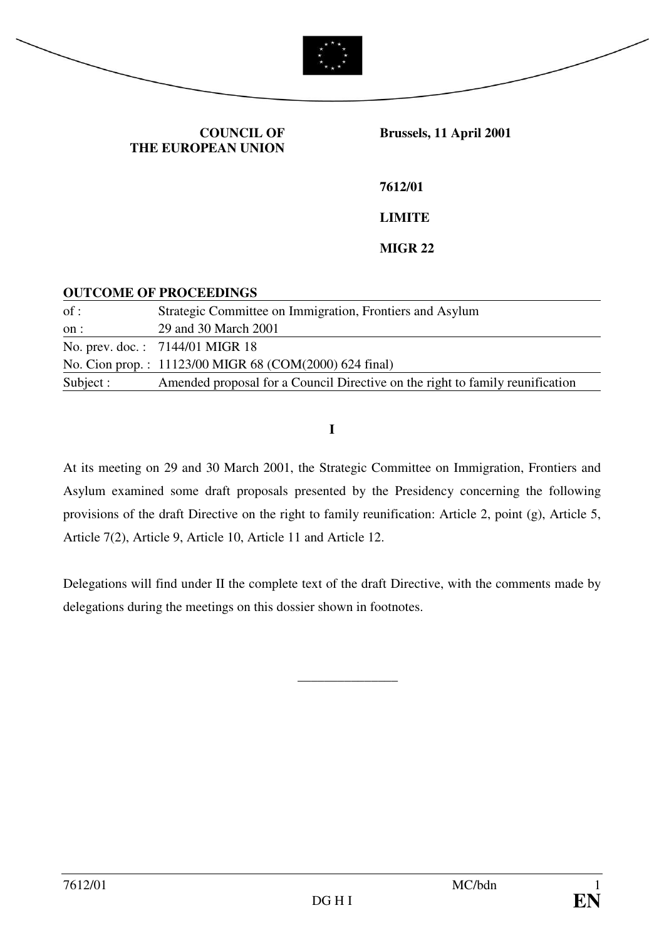

#### **COUNCIL OF THE EUROPEAN UNION**

 **Brussels, 11 April 2001** 

**7612/01** 

**LIMITE** 

#### **MIGR 22**

#### **OUTCOME OF PROCEEDINGS**

| of:       | Strategic Committee on Immigration, Frontiers and Asylum                      |
|-----------|-------------------------------------------------------------------------------|
| on :      | 29 and 30 March 2001                                                          |
|           | No. prev. doc.: 7144/01 MIGR 18                                               |
|           | No. Cion prop.: 11123/00 MIGR 68 (COM(2000) 624 final)                        |
| Subject : | Amended proposal for a Council Directive on the right to family reunification |

**I** 

At its meeting on 29 and 30 March 2001, the Strategic Committee on Immigration, Frontiers and Asylum examined some draft proposals presented by the Presidency concerning the following provisions of the draft Directive on the right to family reunification: Article 2, point (g), Article 5, Article 7(2), Article 9, Article 10, Article 11 and Article 12.

Delegations will find under II the complete text of the draft Directive, with the comments made by delegations during the meetings on this dossier shown in footnotes.

\_\_\_\_\_\_\_\_\_\_\_\_\_\_\_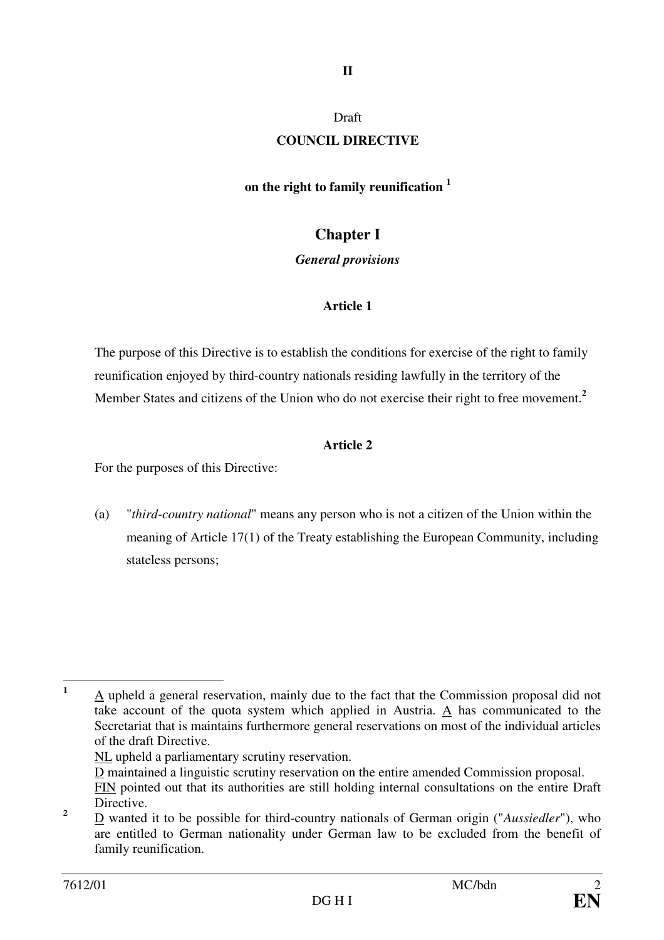## **II**

#### Draft

#### **COUNCIL DIRECTIVE**

#### **on the right to family reunification <sup>1</sup>**

## **Chapter I**

#### *General provisions*

### **Article 1**

The purpose of this Directive is to establish the conditions for exercise of the right to family reunification enjoyed by third-country nationals residing lawfully in the territory of the Member States and citizens of the Union who do not exercise their right to free movement.**<sup>2</sup>**

### **Article 2**

For the purposes of this Directive:

(a) "*third-country national*" means any person who is not a citizen of the Union within the meaning of Article 17(1) of the Treaty establishing the European Community, including stateless persons;

 **1** A upheld a general reservation, mainly due to the fact that the Commission proposal did not take account of the quota system which applied in Austria. A has communicated to the Secretariat that is maintains furthermore general reservations on most of the individual articles of the draft Directive.

NL upheld a parliamentary scrutiny reservation.

D maintained a linguistic scrutiny reservation on the entire amended Commission proposal. FIN pointed out that its authorities are still holding internal consultations on the entire Draft **Directive** 

**<sup>2</sup>** D wanted it to be possible for third-country nationals of German origin ("*Aussiedler*"), who are entitled to German nationality under German law to be excluded from the benefit of family reunification.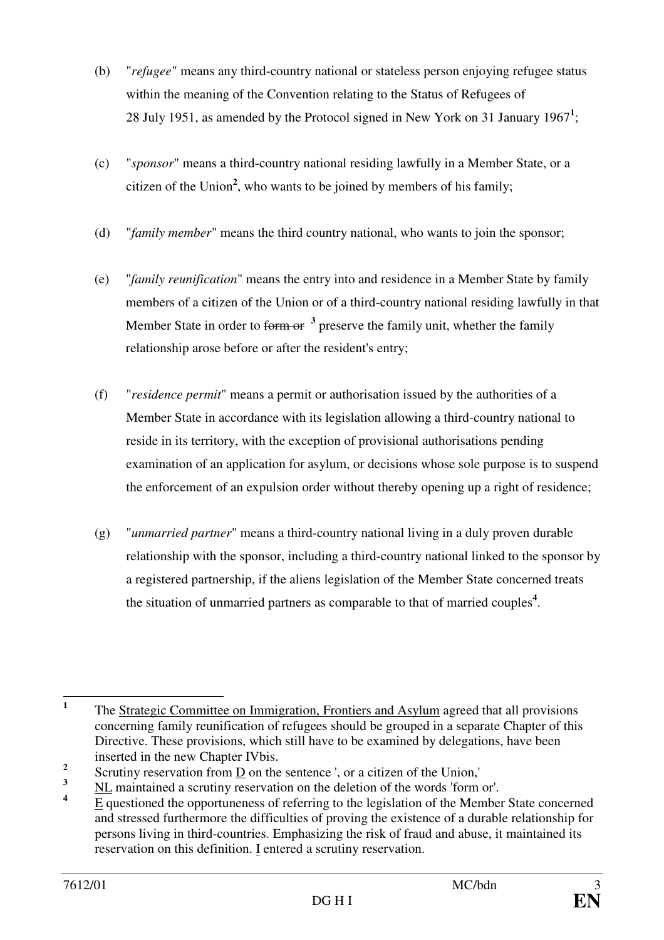- (b) "*refugee*" means any third-country national or stateless person enjoying refugee status within the meaning of the Convention relating to the Status of Refugees of 28 July 1951, as amended by the Protocol signed in New York on 31 January 1967**<sup>1</sup>** ;
- (c) "*sponsor*" means a third-country national residing lawfully in a Member State, or a citizen of the Union**<sup>2</sup>** , who wants to be joined by members of his family;
- (d) "*family member*" means the third country national, who wants to join the sponsor;
- (e) "*family reunification*" means the entry into and residence in a Member State by family members of a citizen of the Union or of a third-country national residing lawfully in that Member State in order to form or <sup>3</sup> preserve the family unit, whether the family relationship arose before or after the resident's entry;
- (f) "*residence permit*" means a permit or authorisation issued by the authorities of a Member State in accordance with its legislation allowing a third-country national to reside in its territory, with the exception of provisional authorisations pending examination of an application for asylum, or decisions whose sole purpose is to suspend the enforcement of an expulsion order without thereby opening up a right of residence;
- (g) "*unmarried partner*" means a third-country national living in a duly proven durable relationship with the sponsor, including a third-country national linked to the sponsor by a registered partnership, if the aliens legislation of the Member State concerned treats the situation of unmarried partners as comparable to that of married couples**<sup>4</sup>** .

 **1** The Strategic Committee on Immigration, Frontiers and Asylum agreed that all provisions concerning family reunification of refugees should be grouped in a separate Chapter of this Directive. These provisions, which still have to be examined by delegations, have been inserted in the new Chapter IVbis.

**<sup>2</sup>** Scrutiny reservation from  $\underline{D}$  on the sentence ', or a citizen of the Union,'

**<sup>3</sup>** NL maintained a scrutiny reservation on the deletion of the words 'form or'.

**<sup>4</sup>** E questioned the opportuneness of referring to the legislation of the Member State concerned and stressed furthermore the difficulties of proving the existence of a durable relationship for persons living in third-countries. Emphasizing the risk of fraud and abuse, it maintained its reservation on this definition. I entered a scrutiny reservation.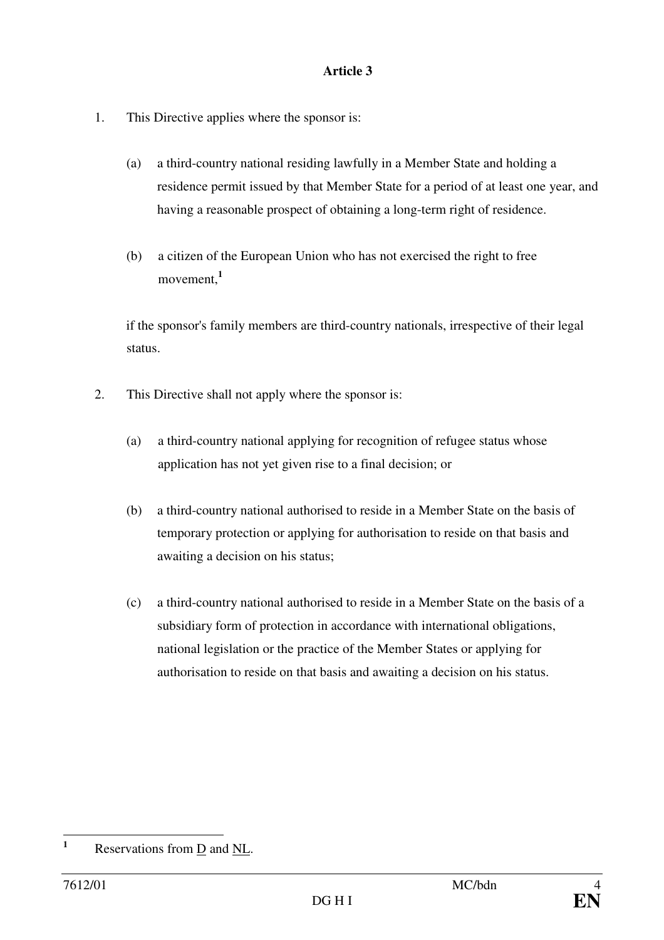- 1. This Directive applies where the sponsor is:
	- (a) a third-country national residing lawfully in a Member State and holding a residence permit issued by that Member State for a period of at least one year, and having a reasonable prospect of obtaining a long-term right of residence.
	- (b) a citizen of the European Union who has not exercised the right to free movement,**<sup>1</sup>**

if the sponsor's family members are third-country nationals, irrespective of their legal status.

- 2. This Directive shall not apply where the sponsor is:
	- (a) a third-country national applying for recognition of refugee status whose application has not yet given rise to a final decision; or
	- (b) a third-country national authorised to reside in a Member State on the basis of temporary protection or applying for authorisation to reside on that basis and awaiting a decision on his status;
	- (c) a third-country national authorised to reside in a Member State on the basis of a subsidiary form of protection in accordance with international obligations, national legislation or the practice of the Member States or applying for authorisation to reside on that basis and awaiting a decision on his status.

 **1** Reservations from D and NL.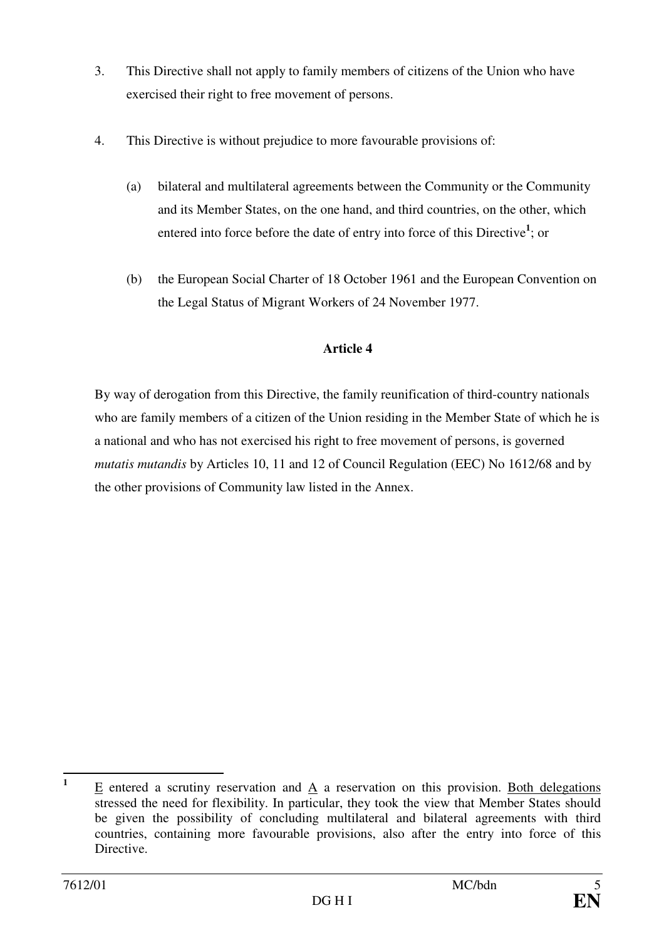- 3. This Directive shall not apply to family members of citizens of the Union who have exercised their right to free movement of persons.
- 4. This Directive is without prejudice to more favourable provisions of:
	- (a) bilateral and multilateral agreements between the Community or the Community and its Member States, on the one hand, and third countries, on the other, which entered into force before the date of entry into force of this Directive**<sup>1</sup>** ; or
	- (b) the European Social Charter of 18 October 1961 and the European Convention on the Legal Status of Migrant Workers of 24 November 1977.

By way of derogation from this Directive, the family reunification of third-country nationals who are family members of a citizen of the Union residing in the Member State of which he is a national and who has not exercised his right to free movement of persons, is governed *mutatis mutandis* by Articles 10, 11 and 12 of Council Regulation (EEC) No 1612/68 and by the other provisions of Community law listed in the Annex.

 **1** E entered a scrutiny reservation and A a reservation on this provision. Both delegations stressed the need for flexibility. In particular, they took the view that Member States should be given the possibility of concluding multilateral and bilateral agreements with third countries, containing more favourable provisions, also after the entry into force of this Directive.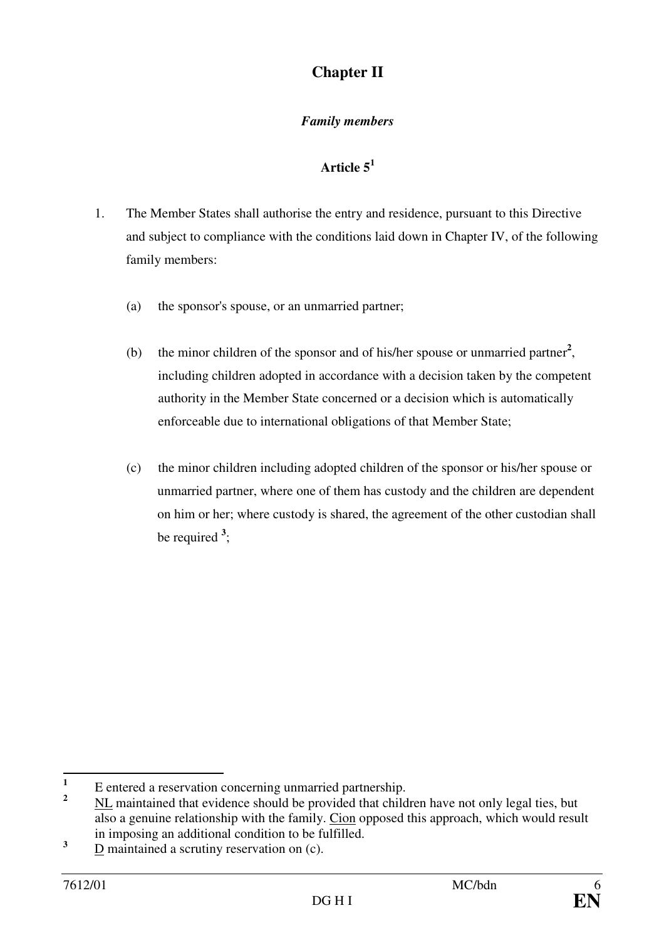# **Chapter II**

## *Family members*

- 1. The Member States shall authorise the entry and residence, pursuant to this Directive and subject to compliance with the conditions laid down in Chapter IV, of the following family members:
	- (a) the sponsor's spouse, or an unmarried partner;
	- (b) the minor children of the sponsor and of his/her spouse or unmarried partner**<sup>2</sup>** , including children adopted in accordance with a decision taken by the competent authority in the Member State concerned or a decision which is automatically enforceable due to international obligations of that Member State;
	- (c) the minor children including adopted children of the sponsor or his/her spouse or unmarried partner, where one of them has custody and the children are dependent on him or her; where custody is shared, the agreement of the other custodian shall be required **<sup>3</sup>** ;

 **1** E entered a reservation concerning unmarried partnership.

**<sup>2</sup>** NL maintained that evidence should be provided that children have not only legal ties, but also a genuine relationship with the family. Cion opposed this approach, which would result in imposing an additional condition to be fulfilled.

**<sup>3</sup>** D maintained a scrutiny reservation on (c).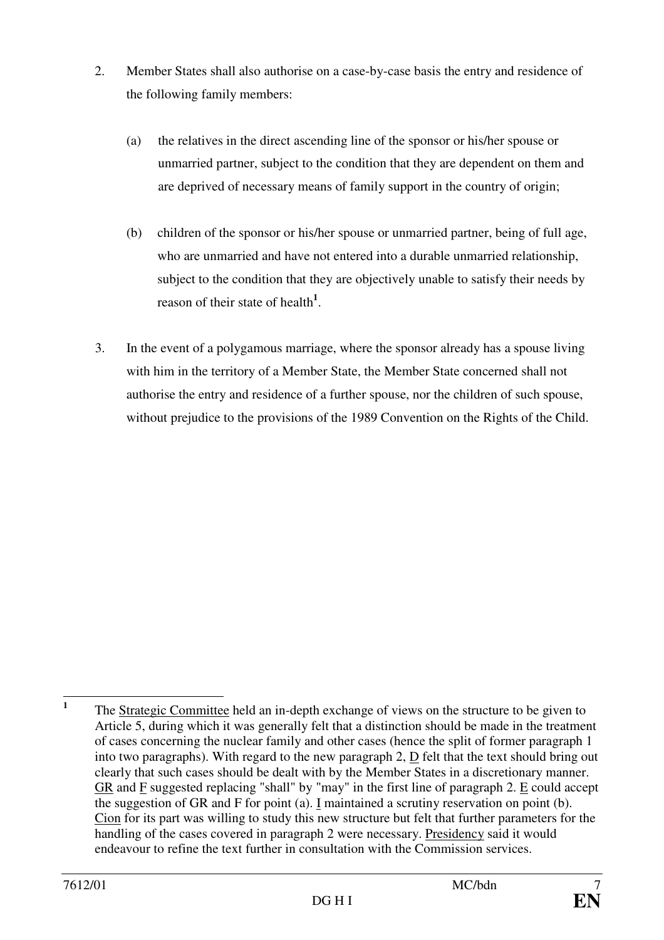- 2. Member States shall also authorise on a case-by-case basis the entry and residence of the following family members:
	- (a) the relatives in the direct ascending line of the sponsor or his/her spouse or unmarried partner, subject to the condition that they are dependent on them and are deprived of necessary means of family support in the country of origin;
	- (b) children of the sponsor or his/her spouse or unmarried partner, being of full age, who are unmarried and have not entered into a durable unmarried relationship, subject to the condition that they are objectively unable to satisfy their needs by reason of their state of health**<sup>1</sup>** .
- 3. In the event of a polygamous marriage, where the sponsor already has a spouse living with him in the territory of a Member State, the Member State concerned shall not authorise the entry and residence of a further spouse, nor the children of such spouse, without prejudice to the provisions of the 1989 Convention on the Rights of the Child.

 **1** The Strategic Committee held an in-depth exchange of views on the structure to be given to Article 5, during which it was generally felt that a distinction should be made in the treatment of cases concerning the nuclear family and other cases (hence the split of former paragraph 1 into two paragraphs). With regard to the new paragraph 2, D felt that the text should bring out clearly that such cases should be dealt with by the Member States in a discretionary manner. GR and F suggested replacing "shall" by "may" in the first line of paragraph 2. E could accept the suggestion of GR and F for point (a). I maintained a scrutiny reservation on point (b). Cion for its part was willing to study this new structure but felt that further parameters for the handling of the cases covered in paragraph 2 were necessary. Presidency said it would endeavour to refine the text further in consultation with the Commission services.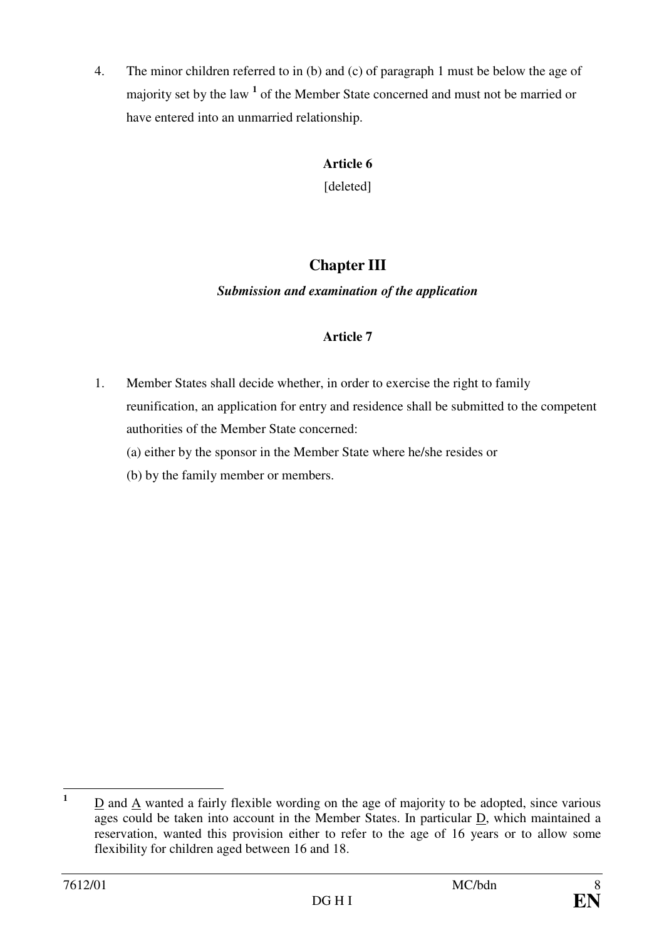4. The minor children referred to in (b) and (c) of paragraph 1 must be below the age of majority set by the law <sup>1</sup> of the Member State concerned and must not be married or have entered into an unmarried relationship.

## **Article 6**

[deleted]

# **Chapter III**

## *Submission and examination of the application*

## **Article 7**

1. Member States shall decide whether, in order to exercise the right to family reunification, an application for entry and residence shall be submitted to the competent authorities of the Member State concerned:

(a) either by the sponsor in the Member State where he/she resides or

(b) by the family member or members.

 **1** D and A wanted a fairly flexible wording on the age of majority to be adopted, since various ages could be taken into account in the Member States. In particular D, which maintained a reservation, wanted this provision either to refer to the age of 16 years or to allow some flexibility for children aged between 16 and 18.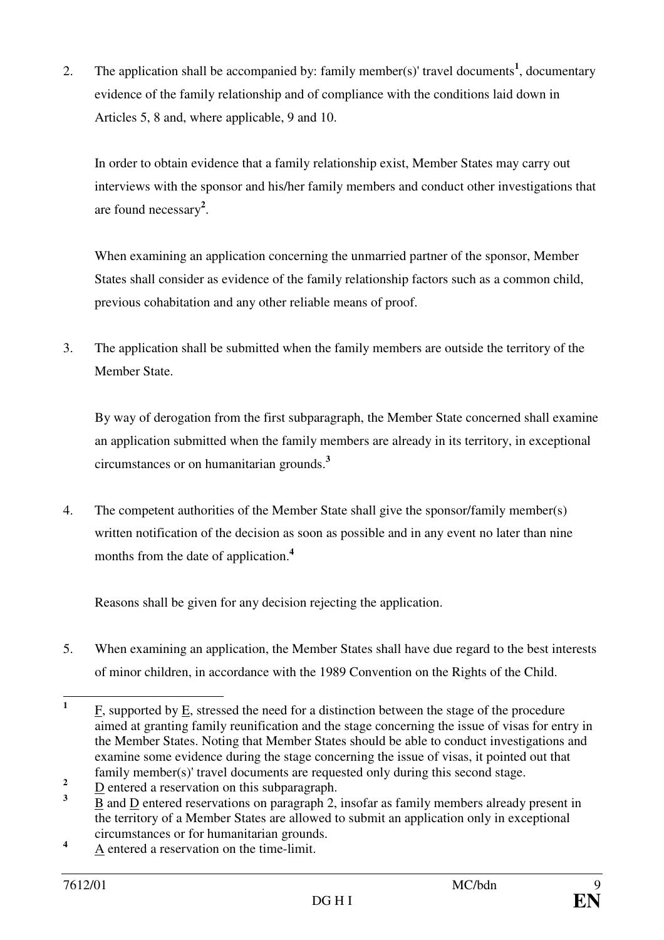2. The application shall be accompanied by: family member(s)' travel documents**<sup>1</sup>** , documentary evidence of the family relationship and of compliance with the conditions laid down in Articles 5, 8 and, where applicable, 9 and 10.

 In order to obtain evidence that a family relationship exist, Member States may carry out interviews with the sponsor and his/her family members and conduct other investigations that are found necessary**<sup>2</sup>** .

 When examining an application concerning the unmarried partner of the sponsor, Member States shall consider as evidence of the family relationship factors such as a common child, previous cohabitation and any other reliable means of proof.

3. The application shall be submitted when the family members are outside the territory of the Member State.

By way of derogation from the first subparagraph, the Member State concerned shall examine an application submitted when the family members are already in its territory, in exceptional circumstances or on humanitarian grounds.**<sup>3</sup>**

4. The competent authorities of the Member State shall give the sponsor/family member(s) written notification of the decision as soon as possible and in any event no later than nine months from the date of application.**<sup>4</sup>**

Reasons shall be given for any decision rejecting the application.

5. When examining an application, the Member States shall have due regard to the best interests of minor children, in accordance with the 1989 Convention on the Rights of the Child.

 **1** F, supported by E, stressed the need for a distinction between the stage of the procedure aimed at granting family reunification and the stage concerning the issue of visas for entry in the Member States. Noting that Member States should be able to conduct investigations and examine some evidence during the stage concerning the issue of visas, it pointed out that family member(s)' travel documents are requested only during this second stage.

**<sup>2</sup>** D entered a reservation on this subparagraph.

**<sup>3</sup>** B and D entered reservations on paragraph 2, insofar as family members already present in the territory of a Member States are allowed to submit an application only in exceptional circumstances or for humanitarian grounds.

**<sup>4</sup>** A entered a reservation on the time-limit.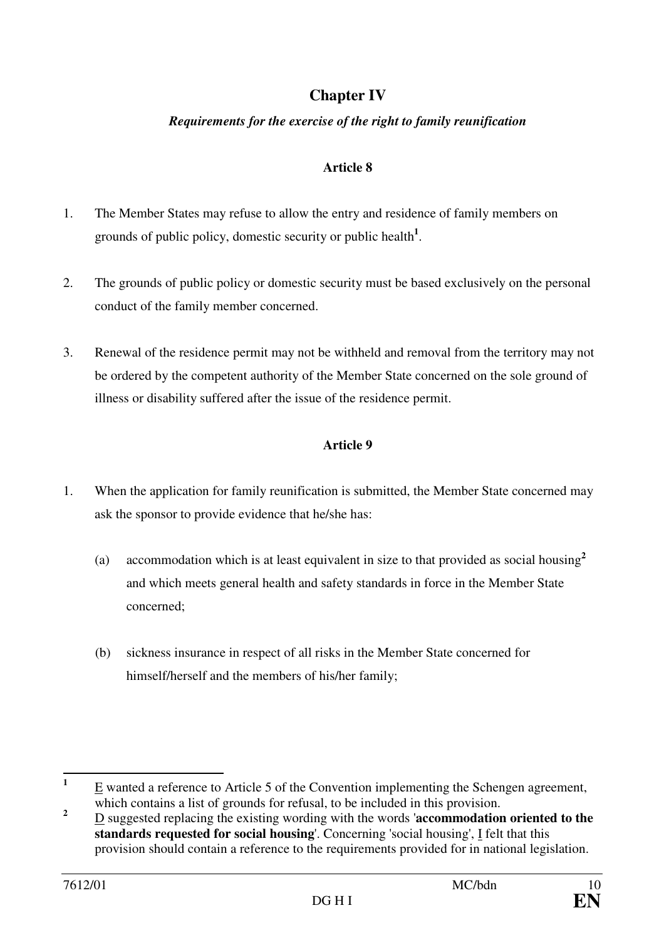# **Chapter IV**

## *Requirements for the exercise of the right to family reunification*

### **Article 8**

- 1. The Member States may refuse to allow the entry and residence of family members on grounds of public policy, domestic security or public health**<sup>1</sup>** .
- 2. The grounds of public policy or domestic security must be based exclusively on the personal conduct of the family member concerned.
- 3. Renewal of the residence permit may not be withheld and removal from the territory may not be ordered by the competent authority of the Member State concerned on the sole ground of illness or disability suffered after the issue of the residence permit.

- 1. When the application for family reunification is submitted, the Member State concerned may ask the sponsor to provide evidence that he/she has:
	- (a) accommodation which is at least equivalent in size to that provided as social housing**<sup>2</sup>** and which meets general health and safety standards in force in the Member State concerned;
	- (b) sickness insurance in respect of all risks in the Member State concerned for himself/herself and the members of his/her family;

 **1** E wanted a reference to Article 5 of the Convention implementing the Schengen agreement, which contains a list of grounds for refusal, to be included in this provision.

**<sup>2</sup>** D suggested replacing the existing wording with the words '**accommodation oriented to the standards requested for social housing**'. Concerning 'social housing', I felt that this provision should contain a reference to the requirements provided for in national legislation.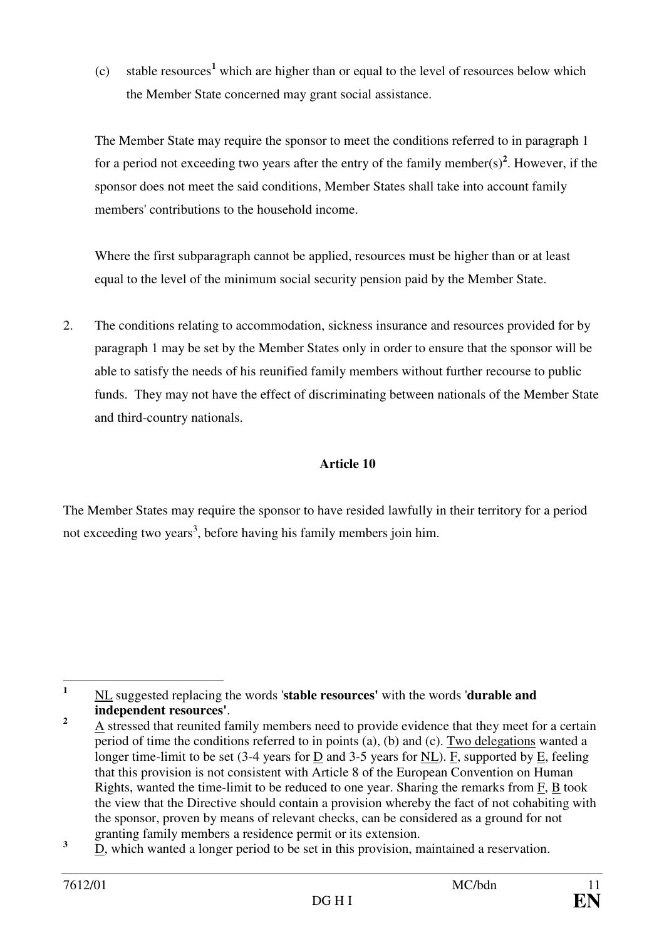(c) stable resources**<sup>1</sup>** which are higher than or equal to the level of resources below which the Member State concerned may grant social assistance.

The Member State may require the sponsor to meet the conditions referred to in paragraph 1 for a period not exceeding two years after the entry of the family member(s)<sup>2</sup>. However, if the sponsor does not meet the said conditions, Member States shall take into account family members' contributions to the household income.

Where the first subparagraph cannot be applied, resources must be higher than or at least equal to the level of the minimum social security pension paid by the Member State.

2. The conditions relating to accommodation, sickness insurance and resources provided for by paragraph 1 may be set by the Member States only in order to ensure that the sponsor will be able to satisfy the needs of his reunified family members without further recourse to public funds. They may not have the effect of discriminating between nationals of the Member State and third-country nationals.

## **Article 10**

The Member States may require the sponsor to have resided lawfully in their territory for a period not exceeding two years<sup>3</sup>, before having his family members join him.

 **1** NL suggested replacing the words '**stable resources'** with the words '**durable and independent resources'**.

**<sup>2</sup>** A stressed that reunited family members need to provide evidence that they meet for a certain period of time the conditions referred to in points (a), (b) and (c). Two delegations wanted a longer time-limit to be set (3-4 years for D and 3-5 years for NL). F, supported by E, feeling that this provision is not consistent with Article 8 of the European Convention on Human Rights, wanted the time-limit to be reduced to one year. Sharing the remarks from F, B took the view that the Directive should contain a provision whereby the fact of not cohabiting with the sponsor, proven by means of relevant checks, can be considered as a ground for not granting family members a residence permit or its extension.

**<sup>3</sup>** D, which wanted a longer period to be set in this provision, maintained a reservation.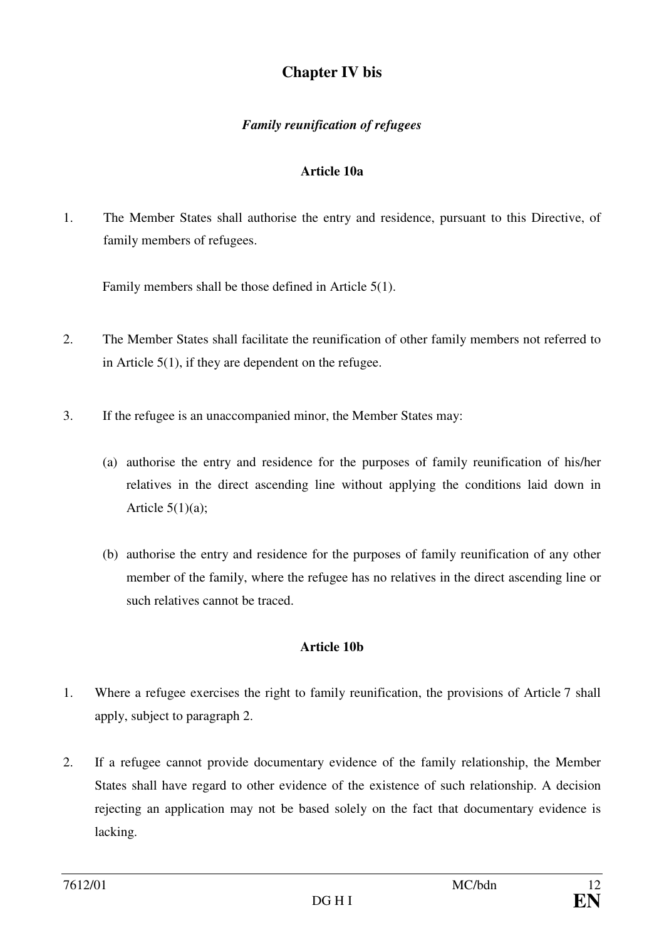## **Chapter IV bis**

## *Family reunification of refugees*

### **Article 10a**

1. The Member States shall authorise the entry and residence, pursuant to this Directive, of family members of refugees.

Family members shall be those defined in Article 5(1).

- 2. The Member States shall facilitate the reunification of other family members not referred to in Article 5(1), if they are dependent on the refugee.
- 3. If the refugee is an unaccompanied minor, the Member States may:
	- (a) authorise the entry and residence for the purposes of family reunification of his/her relatives in the direct ascending line without applying the conditions laid down in Article  $5(1)(a)$ :
	- (b) authorise the entry and residence for the purposes of family reunification of any other member of the family, where the refugee has no relatives in the direct ascending line or such relatives cannot be traced.

### **Article 10b**

- 1. Where a refugee exercises the right to family reunification, the provisions of Article 7 shall apply, subject to paragraph 2.
- 2. If a refugee cannot provide documentary evidence of the family relationship, the Member States shall have regard to other evidence of the existence of such relationship. A decision rejecting an application may not be based solely on the fact that documentary evidence is lacking.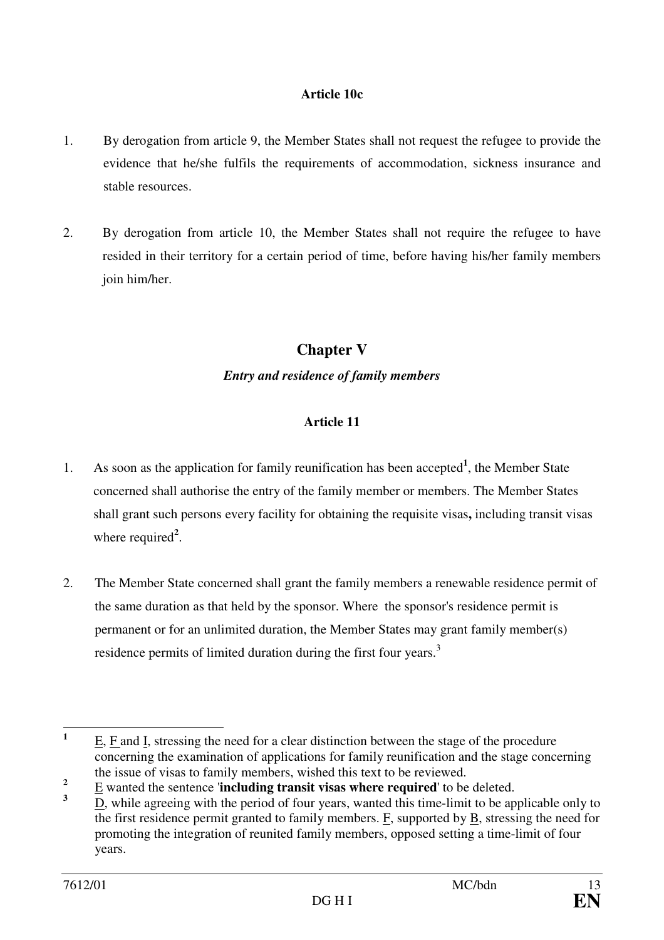#### **Article 10c**

- 1. By derogation from article 9, the Member States shall not request the refugee to provide the evidence that he/she fulfils the requirements of accommodation, sickness insurance and stable resources.
- 2. By derogation from article 10, the Member States shall not require the refugee to have resided in their territory for a certain period of time, before having his/her family members join him/her.

## **Chapter V**

## *Entry and residence of family members*

- 1. As soon as the application for family reunification has been accepted**<sup>1</sup>** , the Member State concerned shall authorise the entry of the family member or members. The Member States shall grant such persons every facility for obtaining the requisite visas**,** including transit visas where required<sup>2</sup>.
- 2. The Member State concerned shall grant the family members a renewable residence permit of the same duration as that held by the sponsor. Where the sponsor's residence permit is permanent or for an unlimited duration, the Member States may grant family member(s) residence permits of limited duration during the first four years.<sup>3</sup>

 **1** E, F and I, stressing the need for a clear distinction between the stage of the procedure concerning the examination of applications for family reunification and the stage concerning the issue of visas to family members, wished this text to be reviewed.

**<sup>2</sup>** E wanted the sentence '**including transit visas where required**' to be deleted.

**<sup>3</sup>** D, while agreeing with the period of four years, wanted this time-limit to be applicable only to the first residence permit granted to family members. F, supported by B, stressing the need for promoting the integration of reunited family members, opposed setting a time-limit of four years.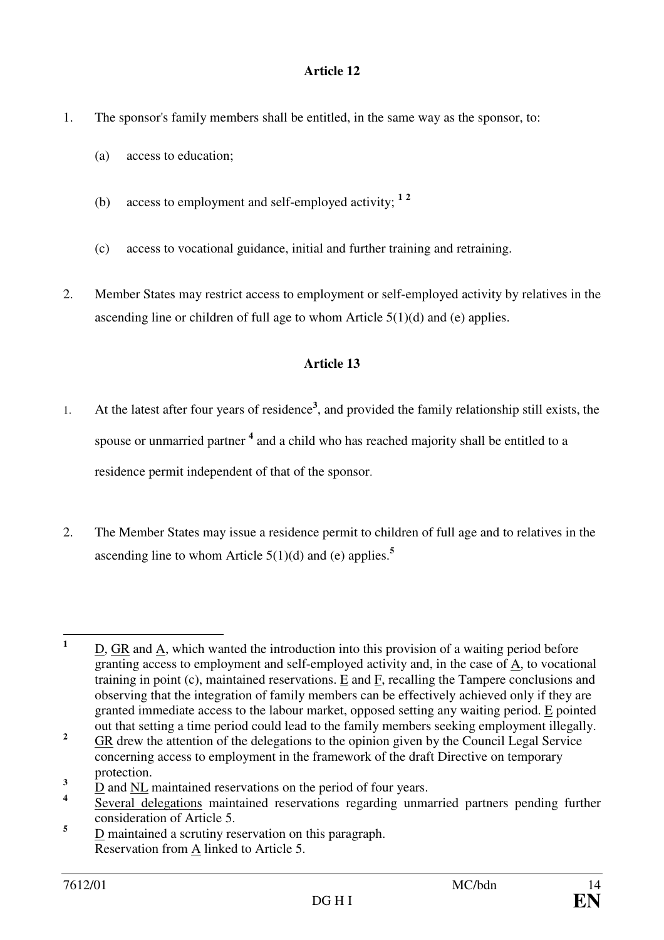- 1. The sponsor's family members shall be entitled, in the same way as the sponsor, to:
	- (a) access to education;
	- (b) access to employment and self-employed activity; **<sup>1</sup> <sup>2</sup>**
	- (c) access to vocational guidance, initial and further training and retraining.
- 2. Member States may restrict access to employment or self-employed activity by relatives in the ascending line or children of full age to whom Article 5(1)(d) and (e) applies.

- 1. At the latest after four years of residence**<sup>3</sup>** , and provided the family relationship still exists, the spouse or unmarried partner <sup>4</sup> and a child who has reached majority shall be entitled to a residence permit independent of that of the sponsor.
- 2. The Member States may issue a residence permit to children of full age and to relatives in the ascending line to whom Article 5(1)(d) and (e) applies.**<sup>5</sup>**

 **1** D, GR and A, which wanted the introduction into this provision of a waiting period before granting access to employment and self-employed activity and, in the case of  $\underline{A}$ , to vocational training in point (c), maintained reservations. E and F, recalling the Tampere conclusions and observing that the integration of family members can be effectively achieved only if they are granted immediate access to the labour market, opposed setting any waiting period. E pointed out that setting a time period could lead to the family members seeking employment illegally.

**<sup>2</sup>** GR drew the attention of the delegations to the opinion given by the Council Legal Service concerning access to employment in the framework of the draft Directive on temporary protection.

**<sup>3</sup>** D and NL maintained reservations on the period of four years.

**<sup>4</sup>** Several delegations maintained reservations regarding unmarried partners pending further consideration of Article 5.

**<sup>5</sup>** D maintained a scrutiny reservation on this paragraph. Reservation from A linked to Article 5.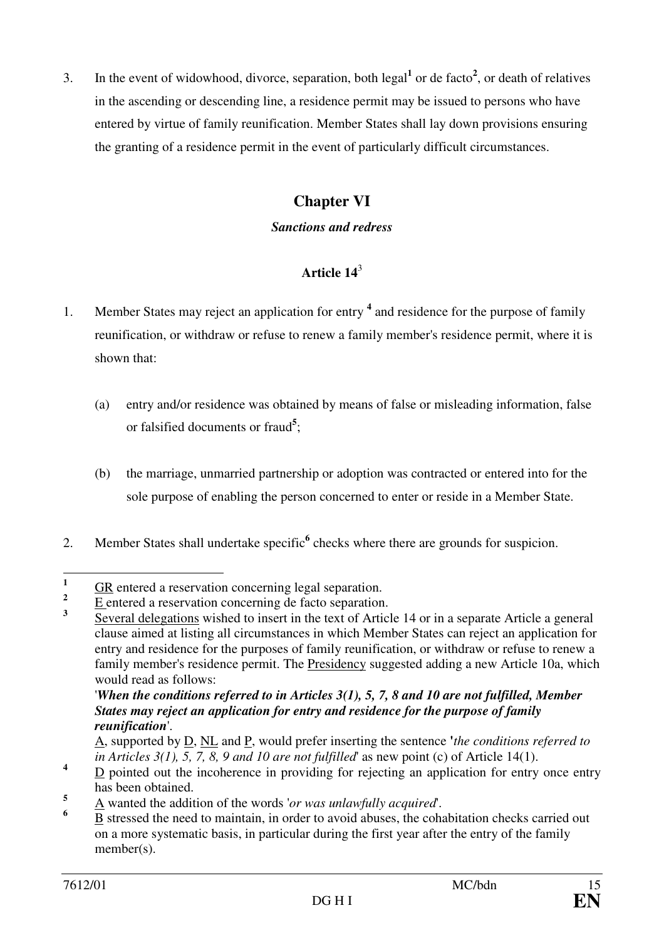3. In the event of widowhood, divorce, separation, both  $\text{legal}^1$  or de facto<sup>2</sup>, or death of relatives in the ascending or descending line, a residence permit may be issued to persons who have entered by virtue of family reunification. Member States shall lay down provisions ensuring the granting of a residence permit in the event of particularly difficult circumstances.

## **Chapter VI**

### *Sanctions and redress*

## **Article 14**<sup>3</sup>

- 1. Member States may reject an application for entry **<sup>4</sup>** and residence for the purpose of family reunification, or withdraw or refuse to renew a family member's residence permit, where it is shown that:
	- (a) entry and/or residence was obtained by means of false or misleading information, false or falsified documents or fraud**<sup>5</sup>** ;
	- (b) the marriage, unmarried partnership or adoption was contracted or entered into for the sole purpose of enabling the person concerned to enter or reside in a Member State.
- 2. Member States shall undertake specific<sup>6</sup> checks where there are grounds for suspicion.

 '*When the conditions referred to in Articles 3(1), 5, 7, 8 and 10 are not fulfilled, Member States may reject an application for entry and residence for the purpose of family reunification*'.

 **1** GR entered a reservation concerning legal separation.

**<sup>2</sup>** E entered a reservation concerning de facto separation.

**<sup>3</sup>** Several delegations wished to insert in the text of Article 14 or in a separate Article a general clause aimed at listing all circumstances in which Member States can reject an application for entry and residence for the purposes of family reunification, or withdraw or refuse to renew a family member's residence permit. The Presidency suggested adding a new Article 10a, which would read as follows:

A, supported by D, NL and P, would prefer inserting the sentence **'***the conditions referred to in Articles 3(1), 5, 7, 8, 9 and 10 are not fulfilled*' as new point (c) of Article 14(1).

**<sup>4</sup>**  $D$  pointed out the incoherence in providing for rejecting an application for entry once entry has been obtained.

**<sup>5</sup>** A wanted the addition of the words '*or was unlawfully acquired*'.

**<sup>6</sup>** B stressed the need to maintain, in order to avoid abuses, the cohabitation checks carried out on a more systematic basis, in particular during the first year after the entry of the family member(s).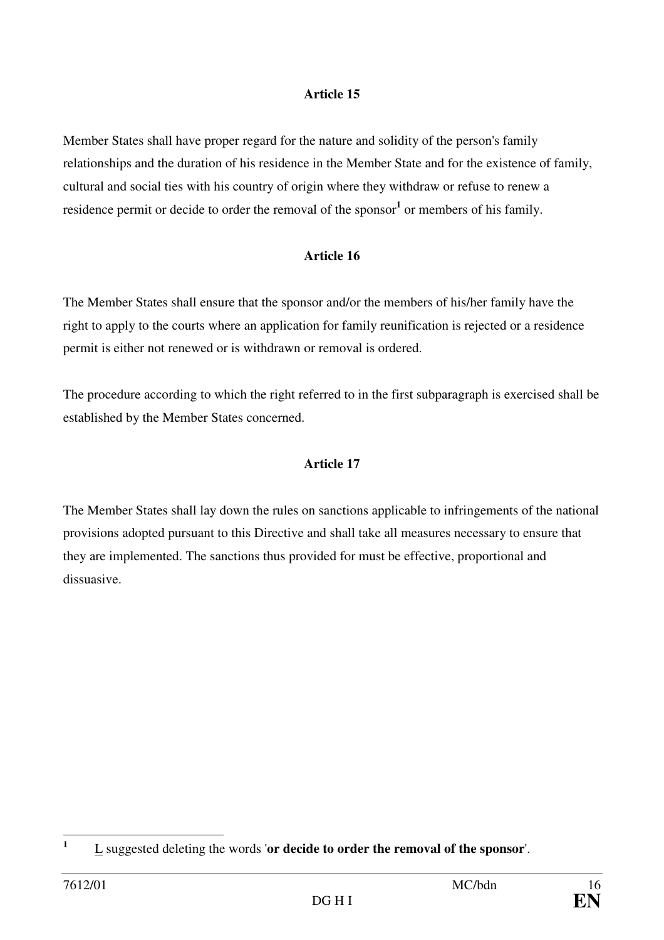Member States shall have proper regard for the nature and solidity of the person's family relationships and the duration of his residence in the Member State and for the existence of family, cultural and social ties with his country of origin where they withdraw or refuse to renew a residence permit or decide to order the removal of the sponsor<sup>1</sup> or members of his family.

### **Article 16**

The Member States shall ensure that the sponsor and/or the members of his/her family have the right to apply to the courts where an application for family reunification is rejected or a residence permit is either not renewed or is withdrawn or removal is ordered.

The procedure according to which the right referred to in the first subparagraph is exercised shall be established by the Member States concerned.

### **Article 17**

The Member States shall lay down the rules on sanctions applicable to infringements of the national provisions adopted pursuant to this Directive and shall take all measures necessary to ensure that they are implemented. The sanctions thus provided for must be effective, proportional and dissuasive.

 **1** L suggested deleting the words '**or decide to order the removal of the sponsor**'.